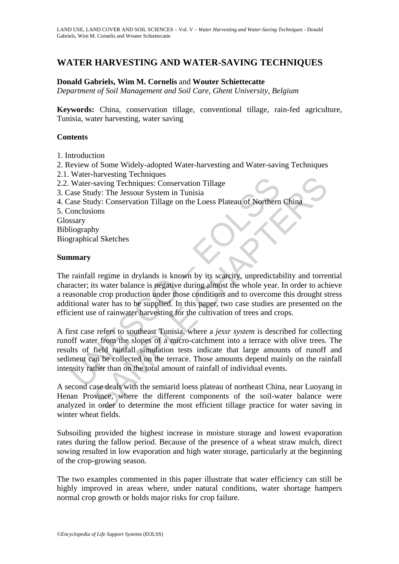# **WATER HARVESTING AND WATER-SAVING TECHNIQUES**

### **Donald Gabriels, Wim M. Cornelis** and **Wouter Schiettecatte**

*Department of Soil Management and Soil Care, Ghent University, Belgium* 

**Keywords:** China, conservation tillage, conventional tillage, rain-fed agriculture, Tunisia, water harvesting, water saving

### **Contents**

- 1. Introduction
- 2. Review of Some Widely-adopted Water-harvesting and Water-saving Techniques
- 2.1. Water-harvesting Techniques
- 2.2. Water-saving Techniques: Conservation Tillage
- 3. Case Study: The Jessour System in Tunisia
- 4. Case Study: Conservation Tillage on the Loess Plateau of Northern China
- 5. Conclusions
- Glossary
- Bibliography

Biographical Sketches

#### **Summary**

Water-saving Techniques: Conservation Tillage<br>
Water-saving Techniques: Conservation Tillage<br>
ase Study: The Jessour System in Tunisia<br>
ase Study: Conservation Tillage on the Loess Plateau of Northern<br>
onclusions<br>
ssary<br>
m France Conservation Tillage<br>saving Techniques: Conservation Tillage<br>dy: The Jessour System in Tunisia<br>dy: Conservation Tillage on the Loess Plateau of Northern China<br>ions<br>hy<br>hy<br>al Sketches<br>is twent balance is negative duri The rainfall regime in drylands is known by its scarcity, unpredictability and torrential character; its water balance is negative during almost the whole year. In order to achieve a reasonable crop production under those conditions and to overcome this drought stress additional water has to be supplied. In this paper, two case studies are presented on the efficient use of rainwater harvesting for the cultivation of trees and crops.

A first case refers to southeast Tunisia, where a *jessr system* is described for collecting runoff water from the slopes of a micro-catchment into a terrace with olive trees. The results of field rainfall simulation tests indicate that large amounts of runoff and sediment can be collected on the terrace. Those amounts depend mainly on the rainfall intensity rather than on the total amount of rainfall of individual events.

A second case deals with the semiarid loess plateau of northeast China, near Luoyang in Henan Province, where the different components of the soil-water balance were analyzed in order to determine the most efficient tillage practice for water saving in winter wheat fields.

Subsoiling provided the highest increase in moisture storage and lowest evaporation rates during the fallow period. Because of the presence of a wheat straw mulch, direct sowing resulted in low evaporation and high water storage, particularly at the beginning of the crop-growing season.

The two examples commented in this paper illustrate that water efficiency can still be highly improved in areas where, under natural conditions, water shortage hampers normal crop growth or holds major risks for crop failure.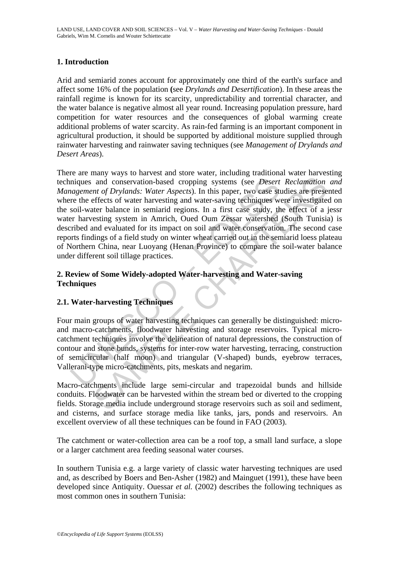# **1. Introduction**

Arid and semiarid zones account for approximately one third of the earth's surface and affect some 16% of the population **(**see *Drylands and Desertification*). In these areas the rainfall regime is known for its scarcity, unpredictability and torrential character, and the water balance is negative almost all year round. Increasing population pressure, hard competition for water resources and the consequences of global warming create additional problems of water scarcity. As rain-fed farming is an important component in agricultural production, it should be supported by additional moisture supplied through rainwater harvesting and rainwater saving techniques (see *Management of Drylands and Desert Areas*).

may and conservation-based cropping systems (see *Desert*<br>agement of Drylands: Water Aspects). In this paper, two case stre the effects of water harvesting and water-saving techniques we<br>soil-water balance in semiarid regi and conservation-based cropping systems (see *Desert Reclamation*<br>and conservation-based cropping systems (see *Desert Reclamation*<br>and f Drylands: Water Aspects). In this paper, two case studies are prese<br>effects of water There are many ways to harvest and store water, including traditional water harvesting techniques and conservation-based cropping systems (see *Desert Reclamation and Management of Drylands: Water Aspects*). In this paper, two case studies are presented where the effects of water harvesting and water-saving techniques were investigated on the soil-water balance in semiarid regions. In a first case study, the effect of a jessr water harvesting system in Amrich, Oued Oum Zessar watershed (South Tunisia) is described and evaluated for its impact on soil and water conservation. The second case reports findings of a field study on winter wheat carried out in the semiarid loess plateau of Northern China, near Luoyang (Henan Province) to compare the soil-water balance under different soil tillage practices.

# **2. Review of Some Widely-adopted Water-harvesting and Water-saving Techniques**

# **2.1. Water-harvesting Techniques**

Four main groups of water harvesting techniques can generally be distinguished: microand macro-catchments, floodwater harvesting and storage reservoirs. Typical microcatchment techniques involve the delineation of natural depressions, the construction of contour and stone bunds, systems for inter-row water harvesting, terracing, construction of semicircular (half moon) and triangular (V-shaped) bunds, eyebrow terraces, Vallerani-type micro-catchments, pits, meskats and negarim.

Macro-catchments include large semi-circular and trapezoidal bunds and hillside conduits. Floodwater can be harvested within the stream bed or diverted to the cropping fields. Storage media include underground storage reservoirs such as soil and sediment, and cisterns, and surface storage media like tanks, jars, ponds and reservoirs. An excellent overview of all these techniques can be found in FAO (2003).

The catchment or water-collection area can be a roof top, a small land surface, a slope or a larger catchment area feeding seasonal water courses.

In southern Tunisia e.g. a large variety of classic water harvesting techniques are used and, as described by Boers and Ben-Asher (1982) and Mainguet (1991), these have been developed since Antiquity. Ouessar *et al.* (2002) describes the following techniques as most common ones in southern Tunisia: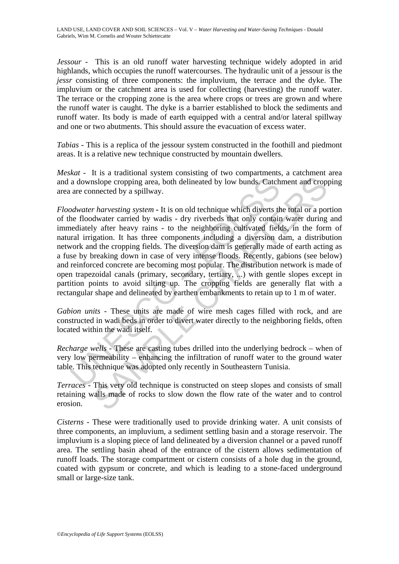*Jessour* - This is an old runoff water harvesting technique widely adopted in arid highlands, which occupies the runoff watercourses. The hydraulic unit of a jessour is the *jessr* consisting of three components: the impluvium, the terrace and the dyke. The impluvium or the catchment area is used for collecting (harvesting) the runoff water. The terrace or the cropping zone is the area where crops or trees are grown and where the runoff water is caught. The dyke is a barrier established to block the sediments and runoff water. Its body is made of earth equipped with a central and/or lateral spillway and one or two abutments. This should assure the evacuation of excess water.

*Tabias* - This is a replica of the jessour system constructed in the foothill and piedmont areas. It is a relative new technique constructed by mountain dwellers.

*Meskat* - It is a traditional system consisting of two compartments, a catchment area and a downslope cropping area, both delineated by low bunds. Catchment and cropping area are connected by a spillway.

a downslope cropping area, both delineated by low bunds, Catch<br>are connected by a spillway.<br> *odwater harvesting system* - It is on old technique which diverts the<br>
flocowater carried by wadis - dry riverbeds that only con isologie cropping area, both delineated by low bunds. Catchment and cropy<br>nected by a spillway.<br>*r* harvesting system - It is on old technique which diverts the total or a por-<br>dwater carried by wadis - dry riverbeds that *Floodwater harvesting system* **-** It is on old technique which diverts the total or a portion of the floodwater carried by wadis - dry riverbeds that only contain water during and immediately after heavy rains - to the neighboring cultivated fields, in the form of natural irrigation. It has three components including a diversion dam, a distribution network and the cropping fields. The diversion dam is generally made of earth acting as a fuse by breaking down in case of very intense floods. Recently, gabions (see below) and reinforced concrete are becoming most popular. The distribution network is made of open trapezoidal canals (primary, secondary, tertiary, ...) with gentle slopes except in partition points to avoid silting up. The cropping fields are generally flat with a rectangular shape and delineated by earthen embankments to retain up to 1 m of water.

*Gabion units* - These units are made of wire mesh cages filled with rock, and are constructed in wadi beds in order to divert water directly to the neighboring fields, often located within the wadi itself.

*Recharge wells* - These are casting tubes drilled into the underlying bedrock – when of very low permeability – enhancing the infiltration of runoff water to the ground water table. This technique was adopted only recently in Southeastern Tunisia.

*Terraces* - This very old technique is constructed on steep slopes and consists of small retaining walls made of rocks to slow down the flow rate of the water and to control erosion.

*Cisterns* - These were traditionally used to provide drinking water. A unit consists of three components, an impluvium, a sediment settling basin and a storage reservoir. The impluvium is a sloping piece of land delineated by a diversion channel or a paved runoff area. The settling basin ahead of the entrance of the cistern allows sedimentation of runoff loads. The storage compartment or cistern consists of a hole dug in the ground, coated with gypsum or concrete, and which is leading to a stone-faced underground small or large-size tank.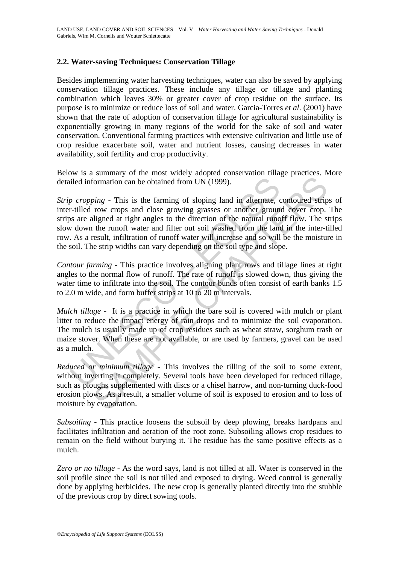### **2.2. Water-saving Techniques: Conservation Tillage**

Besides implementing water harvesting techniques, water can also be saved by applying conservation tillage practices. These include any tillage or tillage and planting combination which leaves 30% or greater cover of crop residue on the surface. Its purpose is to minimize or reduce loss of soil and water. Garcia-Torres *et al*. (2001) have shown that the rate of adoption of conservation tillage for agricultural sustainability is exponentially growing in many regions of the world for the sake of soil and water conservation. Conventional farming practices with extensive cultivation and little use of crop residue exacerbate soil, water and nutrient losses, causing decreases in water availability, soil fertility and crop productivity.

Below is a summary of the most widely adopted conservation tillage practices. More detailed information can be obtained from UN (1999).

iled information can be obtained from UN (1999).<br>
p cropping - This is the farming of sloping land in alternate, or<br>
trilled row crops and close growing grasses or another ground<br>
s are aligned at right angles to the dire formation can be obtained from UN (1999).<br>
Solution can be obtained from UN (1999).<br>
Solution can be obtained from UN (1999).<br>
Solution can be obtained from UN (1999).<br>
This is the farming of sloping land in alternate, co *Strip cropping* - This is the farming of sloping land in alternate, contoured strips of inter-tilled row crops and close growing grasses or another ground cover crop. The strips are aligned at right angles to the direction of the natural runoff flow. The strips slow down the runoff water and filter out soil washed from the land in the inter-tilled row. As a result, infiltration of runoff water will increase and so will be the moisture in the soil. The strip widths can vary depending on the soil type and slope.

*Contour farming* - This practice involves aligning plant rows and tillage lines at right angles to the normal flow of runoff. The rate of runoff is slowed down, thus giving the water time to infiltrate into the soil. The contour bunds often consist of earth banks 1.5 to 2.0 m wide, and form buffer strips at 10 to 20 m intervals.

*Mulch tillage* - It is a practice in which the bare soil is covered with mulch or plant litter to reduce the impact energy of rain drops and to minimize the soil evaporation. The mulch is usually made up of crop residues such as wheat straw, sorghum trash or maize stover. When these are not available, or are used by farmers, gravel can be used as a mulch.

*Reduced or minimum tillage* - This involves the tilling of the soil to some extent, without inverting it completely. Several tools have been developed for reduced tillage, such as ploughs supplemented with discs or a chisel harrow, and non-turning duck-food erosion plows. As a result, a smaller volume of soil is exposed to erosion and to loss of moisture by evaporation.

*Subsoiling* - This practice loosens the subsoil by deep plowing, breaks hardpans and facilitates infiltration and aeration of the root zone. Subsoiling allows crop residues to remain on the field without burying it. The residue has the same positive effects as a mulch.

*Zero or no tillage* - As the word says, land is not tilled at all. Water is conserved in the soil profile since the soil is not tilled and exposed to drying. Weed control is generally done by applying herbicides. The new crop is generally planted directly into the stubble of the previous crop by direct sowing tools.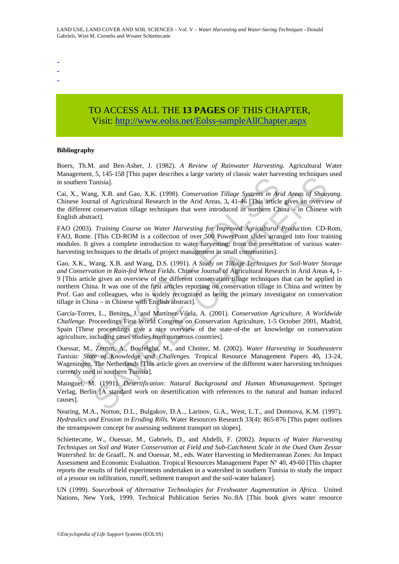- -

-

# TO ACCESS ALL THE **13 PAGES** OF THIS CHAPTER, Visit[: http://www.eolss.net/Eolss-sampleAllChapter.aspx](https://www.eolss.net/ebooklib/sc_cart.aspx?File=E1-05-06-10)

#### **Bibliography**

Boers, Th.M. and Ben-Asher, J. (1982). *A Review of Rainwater Harvesting*. Agricultural Water Management, 5, 145-158 [This paper describes a large variety of classic water harvesting techniques used in southern Tunisia].

Cai, X., Wang, X.B. and Gao, X.K. (1998). *Conservation Tillage Systems in Arid Areas of Shouyang.*  Chinese Journal of Agricultural Research in the Arid Areas, 3**,** 41-46 [This article gives an overview of the different conservation tillage techniques that were introduced in northern China – in Chinese with English abstract].

FAO (2003). *Training Course on Water Harvesting for Improved Agricultural Production.* CD-Rom, FAO, Rome. [This CD-ROM is a collection of over 500 PowerPoint slides arranged into four training modules. It gives a complete introduction to water harvesting; from the presentation of various waterharvesting techniques to the details of project management in small communities].

uthern Tunisia].<br>
Unthern Tunisia].<br>
X., Wang, X.B. and Gao, X.K. (1998). Conservation Tillage Systems in Article<br>
ifferent conservation tillage techniques that were introduced in northern Ch<br>
ifferent conservation tillage or APP 250 (Final paper descends a large variety or classic water matedating decaying<br>
unisia].<br>
SINE SINE CHAPTERS CONSERVATION Tillage Systems in Arid Areas of Show<br>
unisia].<br>
SINE CO-ROM is a collection of over 50 move Gao, X.K., Wang, X.B. and Wang, D.S. (1991). *A Study on Tillage Techniques for Soil-Water Storage and Conservation in Rain-fed Wheat Fields*. Chinese Journal of Agricultural Research in Arid Areas 4**,** 1- 9 [This article gives an overview of the different conservation tillage techniques that can be applied in northern China. It was one of the first articles reporting on conservation tillage in China and written by Prof. Gao and colleagues, who is widely recognized as being the primary investigator on conservation tillage in China – in Chinese with English abstract].

García-Torres, L., Benites, J. and Martínez-Vilela, A. (2001). *Conservation Agriculture, A Worldwide Challenge.* Proceedings First World Congress on Conservation Agriculture, 1-5 October 2001, Madrid, Spain [These proceedings give a nice overview of the state-of-the art knowledge on conservation agriculture, including cases studies from numerous countries].

Ouessar, M., Zerrim, A., Boufelgha, M., and Chniter, M. (2002). *Water Harvesting in Southeastern Tunisia: State of Knowledge and Challenges.* Tropical Resource Management Papers 40**,** 13-24, Wageningen, The Netherlands [This article gives an overview of the different water harvesting techniques currently used in southern Tunisia].

Mainguet, M. (1991). *Desertification: Natural Background and Human Mismanagement*. Springer Verlag, Berlin [A standard work on desertification with references to the natural and human induced causes].

Nearing, M.A., Norton, D.L., Bulgakov, D.A.., Larinov, G.A., West, L.T., and Dontsova, K.M. (1997). *Hydraulics and Erosion in Eroding Rills.* Water Resources Research 33(4): 865-876 [This paper outlines the streampower concept for assessing sediment transport on slopes].

Schiettecatte, W., Ouessar, M., Gabriels, D., and Abdelli, F. (2002). *Impacts of Water Harvesting Techniques on Soil and Water Conservation at Field and Sub-Catchment Scale in the Oued Oum Zessar Watershed.* In: de Graaff,. N. and Ouessar, M., eds. Water Harvesting in Mediterranean Zones: An Impact Assessment and Economic Evaluation. Tropical Resources Management Paper N° 40, 49-60 [This chapter reports the results of field experiments undertaken in a watershed in southern Tunisia to study the impact of a jessour on infiltration, runoff, sediment transport and the soil-water balance].

UN (1999). *Sourcebook of Alternative Technologies for Freshwater Augmentation in Africa.* United Nations, New York, 1999. Technical Publication Series No.:8A [This book gives water resource